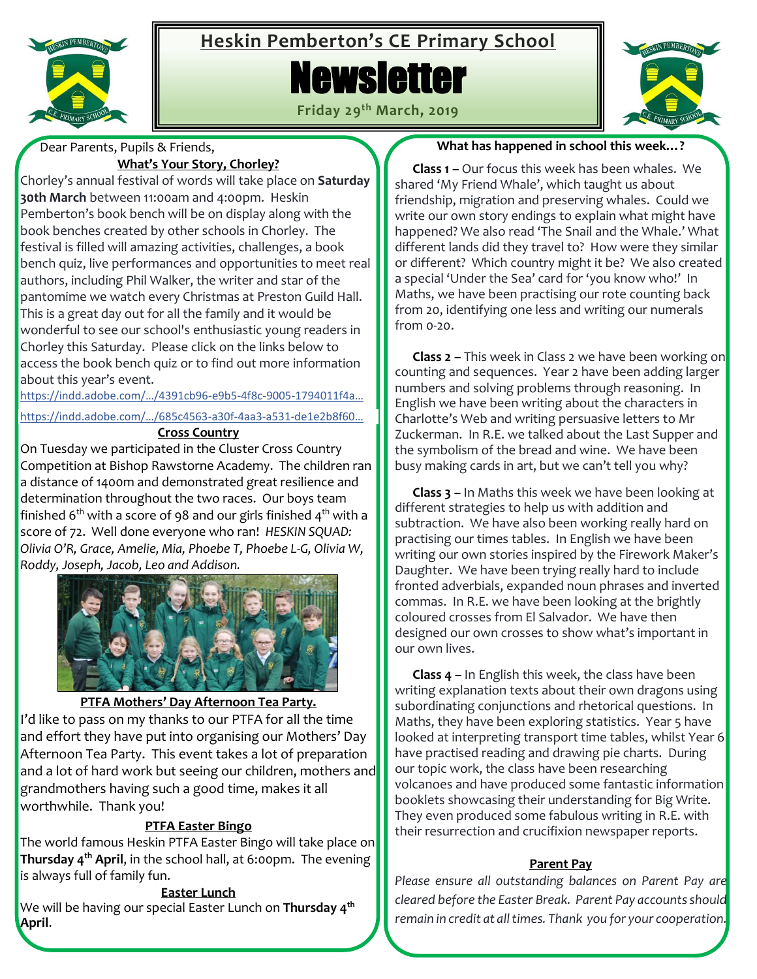

# **Heskin Pemberton's CE Primary School**







 Dear Parents, Pupils & Friends, **What's Your Story, Chorley?**

Chorley's annual festival of words will take place on **Saturday 30th March** between 11:00am and 4:00pm. Heskin Pemberton's book bench will be on display along with the book benches created by other schools in Chorley. The festival is filled will amazing activities, challenges, a book bench quiz, live performances and opportunities to meet real authors, including Phil Walker, the writer and star of the pantomime we watch every Christmas at Preston Guild Hall. This is a great day out for all the family and it would be wonderful to see our school's enthusiastic young readers in Chorley this Saturday. Please click on the links below to access the book bench quiz or to find out more information about this year's event.

[https://indd.adobe.com/…/4391cb96](https://indd.adobe.com/view/4391cb96-e9b5-4f8c-9005-1794011f4ada?fbclid=IwAR3k_QM6CKr8D-Gw1H0LvyRIjid6c8qW7YyKxEyA74iqVtNFv_gQD88_yZM)-e9b5-4f8c-9005-1794011f4a…

[https://indd.adobe.com/…/685c4563](https://indd.adobe.com/view/685c4563-a30f-4aa3-a531-de1e2b8f6010?fbclid=IwAR25Cq6MrSUJaik_UX7aEvDdygAgWg3VYI05yXF2bEPsGtN04YlEzZj4VS8)-a30f-4aa3-a531-de1e2b8f60…

**Cross Country**

On Tuesday we participated in the Cluster Cross Country Competition at Bishop Rawstorne Academy. The children ran a distance of 1400m and demonstrated great resilience and determination throughout the two races. Our boys team finished 6<sup>th</sup> with a score of 98 and our girls finished 4<sup>th</sup> with a score of 72. Well done everyone who ran! *HESKIN SQUAD: Olivia O'R, Grace, Amelie, Mia, Phoebe T, Phoebe L-G, Olivia W, Roddy, Joseph, Jacob, Leo and Addison.*



#### **PTFA Mothers' Day Afternoon Tea Party.**

I'd like to pass on my thanks to our PTFA for all the time and effort they have put into organising our Mothers' Day Afternoon Tea Party. This event takes a lot of preparation and a lot of hard work but seeing our children, mothers and grandmothers having such a good time, makes it all worthwhile. Thank you!

#### **PTFA Easter Bingo**

The world famous Heskin PTFA Easter Bingo will take place on **Thursday 4 th April**, in the school hall, at 6:00pm. The evening is always full of family fun.

#### **Easter Lunch**

We will be having our special Easter Lunch on **Thursday 4 th April**.

#### **What has happened in school this week…?**

 **Class 1 –** Our focus this week has been whales. We shared 'My Friend Whale', which taught us about friendship, migration and preserving whales. Could we write our own story endings to explain what might have happened? We also read 'The Snail and the Whale.' What different lands did they travel to? How were they similar or different? Which country might it be? We also created a special 'Under the Sea' card for 'you know who!' In Maths, we have been practising our rote counting back from 20, identifying one less and writing our numerals from 0-20.

 **Class 2 –** This week in Class 2 we have been working on counting and sequences. Year 2 have been adding larger numbers and solving problems through reasoning. In English we have been writing about the characters in Charlotte's Web and writing persuasive letters to Mr Zuckerman. In R.E. we talked about the Last Supper and the symbolism of the bread and wine. We have been busy making cards in art, but we can't tell you why?

 **Class 3 –** In Maths this week we have been looking at different strategies to help us with addition and subtraction. We have also been working really hard on practising our times tables. In English we have been writing our own stories inspired by the Firework Maker's Daughter. We have been trying really hard to include fronted adverbials, expanded noun phrases and inverted commas. In R.E. we have been looking at the brightly coloured crosses from El Salvador. We have then designed our own crosses to show what's important in our own lives.

 **Class 4 –** In English this week, the class have been writing explanation texts about their own dragons using subordinating conjunctions and rhetorical questions. In Maths, they have been exploring statistics. Year 5 have looked at interpreting transport time tables, whilst Year 6 have practised reading and drawing pie charts. During our topic work, the class have been researching volcanoes and have produced some fantastic information booklets showcasing their understanding for Big Write. They even produced some fabulous writing in R.E. with their resurrection and crucifixion newspaper reports.

#### **Parent Pay**

*Please ensure all outstanding balances on Parent Pay are cleared before the Easter Break. Parent Pay accounts should remain in credit at all times. Thank you for your cooperation.*